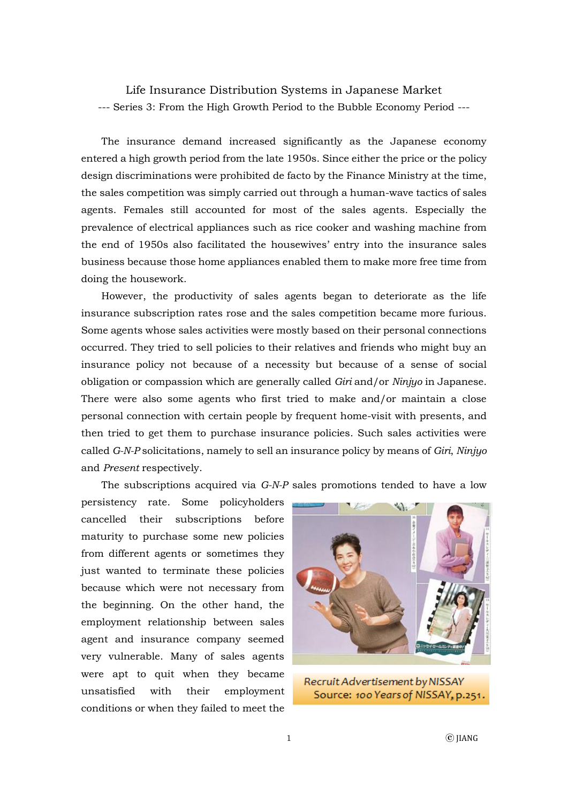Life Insurance Distribution Systems in Japanese Market --- Series 3: From the High Growth Period to the Bubble Economy Period ---

The insurance demand increased significantly as the Japanese economy entered a high growth period from the late 1950s. Since either the price or the policy design discriminations were prohibited de facto by the Finance Ministry at the time, the sales competition was simply carried out through a human-wave tactics of sales agents. Females still accounted for most of the sales agents. Especially the prevalence of electrical appliances such as rice cooker and washing machine from the end of 1950s also facilitated the housewives' entry into the insurance sales business because those home appliances enabled them to make more free time from doing the housework.

However, the productivity of sales agents began to deteriorate as the life insurance subscription rates rose and the sales competition became more furious. Some agents whose sales activities were mostly based on their personal connections occurred. They tried to sell policies to their relatives and friends who might buy an insurance policy not because of a necessity but because of a sense of social obligation or compassion which are generally called *Giri* and/or *Ninjyo* in Japanese. There were also some agents who first tried to make and/or maintain a close personal connection with certain people by frequent home-visit with presents, and then tried to get them to purchase insurance policies. Such sales activities were called *G-N-P* solicitations, namely to sell an insurance policy by means of *Giri*, *Ninjyo*  and *Present* respectively.

The subscriptions acquired via *G-N-P* sales promotions tended to have a low

persistency rate. Some policyholders cancelled their subscriptions before maturity to purchase some new policies from different agents or sometimes they just wanted to terminate these policies because which were not necessary from the beginning. On the other hand, the employment relationship between sales agent and insurance company seemed very vulnerable. Many of sales agents were apt to quit when they became unsatisfied with their employment conditions or when they failed to meet the



Recruit Advertisement by NISSAY Source: 100 Years of NISSAY, p.251.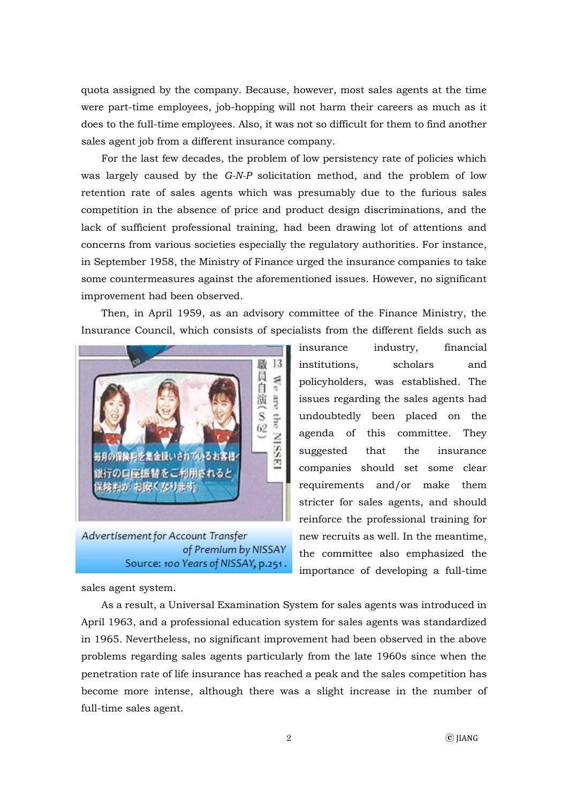quota assigned by the company. Because, however, most sales agents at the time were part-time employees, job-hopping will not harm their careers as much as it does to the full-time employees. Also, it was not so difficult for them to find another sales agent job from a different insurance company.

For the last few decades, the problem of low persistency rate of policies which was largely caused by the *G-N-P* solicitation method, and the problem of low retention rate of sales agents which was presumably due to the furious sales competition in the absence of price and product design discriminations, and the lack of sufficient professional training, had been drawing lot of attentions and concerns from various societies especially the regulatory authorities. For instance, in September 1958, the Ministry of Finance urged the insurance companies to take some countermeasures against the aforementioned issues. However, no significant improvement had been observed.

Then, in April 1959, as an advisory committee of the Finance Ministry, the Insurance Council, which consists of specialists from the different fields such as



Advertisement for Account Transfer of Premium by NISSAY Source: 100 Years of NISSAY, p.251.

insurance industry, financial institutions, scholars and policyholders, was established. The issues regarding the sales agents had undoubtedly been placed on the agenda of this committee. They suggested that the insurance companies should set some clear requirements and/or make them stricter for sales agents, and should reinforce the professional training for new recruits as well. In the meantime, the committee also emphasized the importance of developing a full-time

sales agent system.

As a result, a Universal Examination System for sales agents was introduced in April 1963, and a professional education system for sales agents was standardized in 1965. Nevertheless, no significant improvement had been observed in the above problems regarding sales agents particularly from the late 1960s since when the penetration rate of life insurance has reached a peak and the sales competition has become more intense, although there was a slight increase in the number of full-time sales agent.